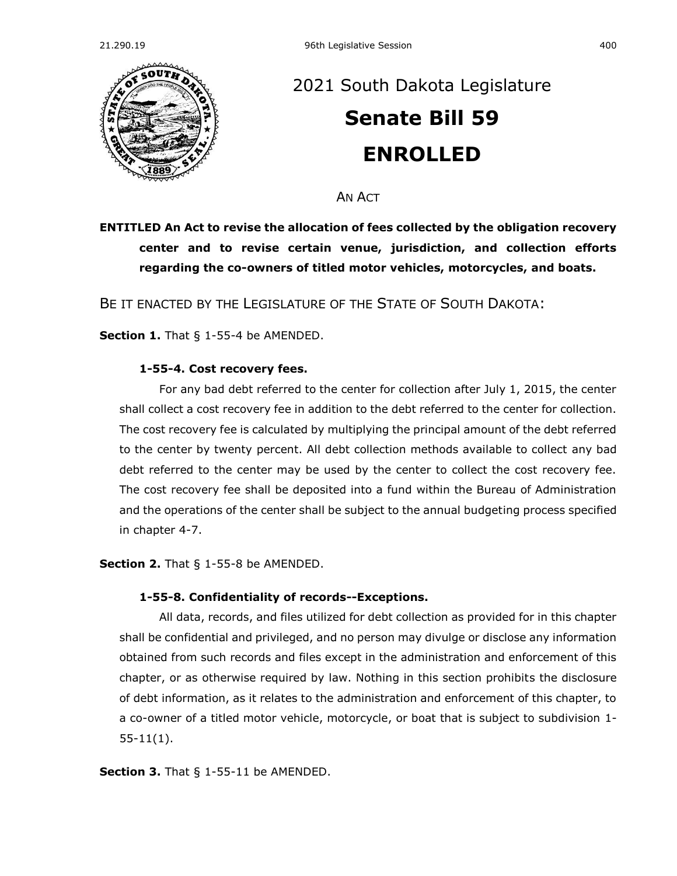

# [2021 South Dakota Legislature](https://sdlegislature.gov/Session/Bills/44) **[Senate Bill 59](https://sdlegislature.gov/Session/Bill/22010) ENROLLED**

AN ACT

**ENTITLED An Act to revise the allocation of fees collected by the obligation recovery center and to revise certain venue, jurisdiction, and collection efforts regarding the co-owners of titled motor vehicles, motorcycles, and boats.**

BE IT ENACTED BY THE LEGISLATURE OF THE STATE OF SOUTH DAKOTA:

**Section 1.** [That § 1-55-4 be AMENDED.](https://sdlegislature.gov/Statutes/Codified_Laws/DisplayStatute.aspx?Type=Statute&Statute=1-55-4)

## **[1-55-4. C](https://sdlegislature.gov/Statutes/Codified_Laws/DisplayStatute.aspx?Type=Statute&Statute=1-55-4)ost recovery fees.**

For any bad debt referred to the center for collection after July 1, 2015, the center shall collect a cost recovery fee in addition to the debt referred to the center for collection. The cost recovery fee is calculated by multiplying the principal amount of the debt referred to the center by twenty percent. All debt collection methods available to collect any bad debt referred to the center may be used by the center to collect the cost recovery fee. The cost recovery fee shall be deposited into a fund within the Bureau of Administration and the operations of the center shall be subject to the annual budgeting process specified in chapter [4-7.](https://sdlegislature.gov/Statutes/Codified_Laws/DisplayStatute.aspx?Type=Statute&Statute=4-7)

**Section 2.** [That § 1-55-8 be AMENDED.](https://sdlegislature.gov/Statutes/Codified_Laws/DisplayStatute.aspx?Type=Statute&Statute=1-55-8)

#### **[1-55-8. C](https://sdlegislature.gov/Statutes/Codified_Laws/DisplayStatute.aspx?Type=Statute&Statute=1-55-8)onfidentiality of records--Exceptions.**

All data, records, and files utilized for debt collection as provided for in this chapter shall be confidential and privileged, and no person may divulge or disclose any information obtained from such records and files except in the administration and enforcement of this chapter, or as otherwise required by law. Nothing in this section prohibits the disclosure of debt information, as it relates to the administration and enforcement of this chapter, to a co-owner of a titled motor vehicle, motorcycle, or boat that is subject to subdivision [1-](https://sdlegislature.gov/Statutes/Codified_Laws/DisplayStatute.aspx?Type=Statute&Statute=1-55-11) [55-11\(](https://sdlegislature.gov/Statutes/Codified_Laws/DisplayStatute.aspx?Type=Statute&Statute=1-55-11)1).

**Section 3.** [That § 1-55-11 be AMENDED.](https://sdlegislature.gov/Statutes/Codified_Laws/DisplayStatute.aspx?Type=Statute&Statute=1-55-11)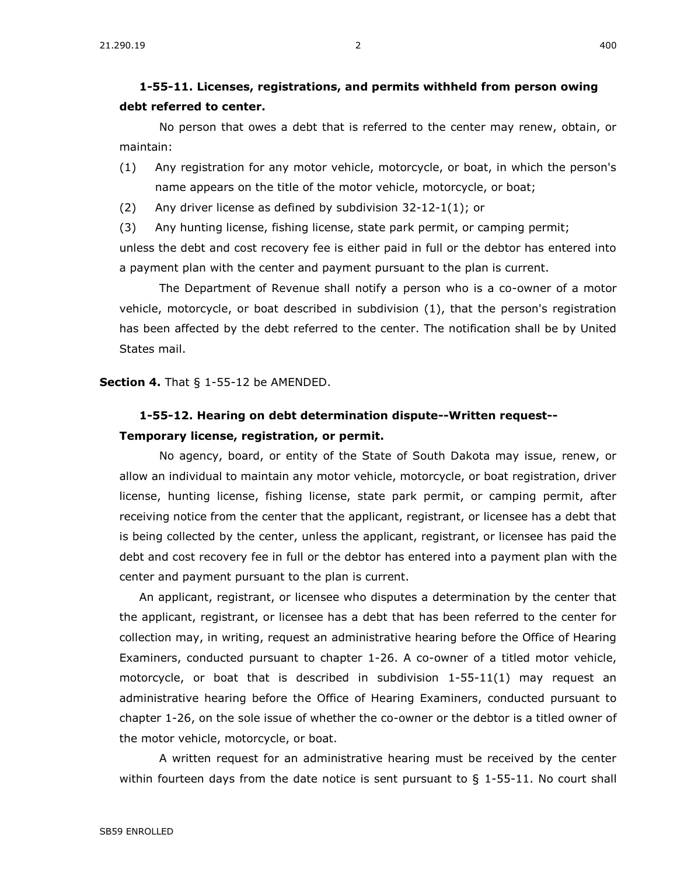## **[1-55-11. L](https://sdlegislature.gov/Statutes/Codified_Laws/DisplayStatute.aspx?Type=Statute&Statute=1-55-11)icenses, registrations, and permits withheld from person owing debt referred to center.**

No person that owes a debt that is referred to the center may renew, obtain, or maintain:

(1) Any registration for any motor vehicle, motorcycle, or boat, in which the person's name appears on the title of the motor vehicle, motorcycle, or boat;

(2) Any driver license as defined by subdivision [32-12-1\(](https://sdlegislature.gov/Statutes/Codified_Laws/DisplayStatute.aspx?Type=Statute&Statute=32-12-1)1); or

(3) Any hunting license, fishing license, state park permit, or camping permit;

unless the debt and cost recovery fee is either paid in full or the debtor has entered into a payment plan with the center and payment pursuant to the plan is current.

The Department of Revenue shall notify a person who is a co-owner of a motor vehicle, motorcycle, or boat described in subdivision (1), that the person's registration has been affected by the debt referred to the center. The notification shall be by United States mail.

**Section 4.** That [§ 1-55-12 be AMENDED.](https://sdlegislature.gov/Statutes/Codified_Laws/DisplayStatute.aspx?Type=Statute&Statute=1-55-12)

## **[1-55-12. H](https://sdlegislature.gov/Statutes/Codified_Laws/DisplayStatute.aspx?Type=Statute&Statute=1-55-12)earing on debt determination dispute--Written request-- Temporary license, registration, or permit.**

No agency, board, or entity of the State of South Dakota may issue, renew, or allow an individual to maintain any motor vehicle, motorcycle, or boat registration, driver license, hunting license, fishing license, state park permit, or camping permit, after receiving notice from the center that the applicant, registrant, or licensee has a debt that is being collected by the center, unless the applicant, registrant, or licensee has paid the debt and cost recovery fee in full or the debtor has entered into a payment plan with the center and payment pursuant to the plan is current.

An applicant, registrant, or licensee who disputes a determination by the center that the applicant, registrant, or licensee has a debt that has been referred to the center for collection may, in writing, request an administrative hearing before the Office of Hearing Examiners, conducted pursuant to chapter [1-26.](https://sdlegislature.gov/Statutes/Codified_Laws/DisplayStatute.aspx?Type=Statute&Statute=1-26) A co-owner of a titled motor vehicle, motorcycle, or boat that is described in subdivision  $1-55-11(1)$  $1-55-11(1)$  may request an administrative hearing before the Office of Hearing Examiners, conducted pursuant to chapter [1-26,](https://sdlegislature.gov/Statutes/Codified_Laws/DisplayStatute.aspx?Type=Statute&Statute=1-26) on the sole issue of whether the co-owner or the debtor is a titled owner of the motor vehicle, motorcycle, or boat.

A written request for an administrative hearing must be received by the center within fourteen days from the date notice is sent pursuant to  $\S$  [1-55-11.](https://sdlegislature.gov/Statutes/Codified_Laws/DisplayStatute.aspx?Type=Statute&Statute=1-55-11) No court shall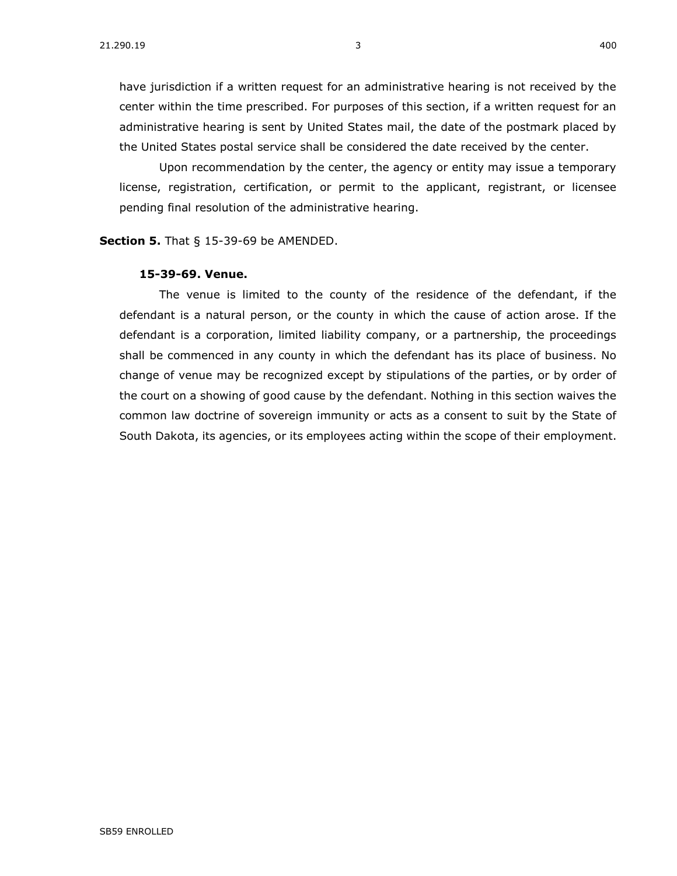have jurisdiction if a written request for an administrative hearing is not received by the center within the time prescribed. For purposes of this section, if a written request for an administrative hearing is sent by United States mail, the date of the postmark placed by the United States postal service shall be considered the date received by the center.

Upon recommendation by the center, the agency or entity may issue a temporary license, registration, certification, or permit to the applicant, registrant, or licensee pending final resolution of the administrative hearing.

**Section 5.** [That § 15-39-69 be AMENDED.](https://sdlegislature.gov/Statutes/Codified_Laws/DisplayStatute.aspx?Type=Statute&Statute=15-39-69)

### **[15-39-69. V](https://sdlegislature.gov/Statutes/Codified_Laws/DisplayStatute.aspx?Type=Statute&Statute=15-39-69)enue.**

The venue is limited to the county of the residence of the defendant, if the defendant is a natural person, or the county in which the cause of action arose. If the defendant is a corporation, limited liability company, or a partnership, the proceedings shall be commenced in any county in which the defendant has its place of business. No change of venue may be recognized except by stipulations of the parties, or by order of the court on a showing of good cause by the defendant. Nothing in this section waives the common law doctrine of sovereign immunity or acts as a consent to suit by the State of South Dakota, its agencies, or its employees acting within the scope of their employment.